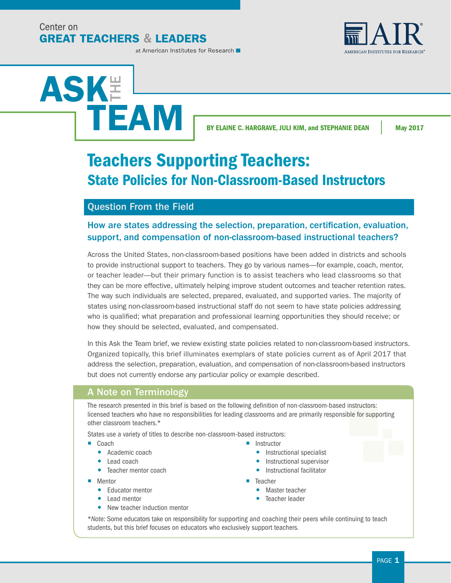Center on **GREAT TEACHERS & LEADERS**  **AMERICAN INSTITUTES FOR RESEARCH** 

#### at American Institutes for Research

# ASK**E** TEAM

BY ELAINE C. HARGRAVE, JULI KIM, and STEPHANIE DEAN May 2017

# Teachers Supporting Teachers: State Policies for Non-Classroom-Based Instructors

## Question From the Field

## How are states addressing the selection, preparation, certification, evaluation, support, and compensation of non-classroom-based instructional teachers?

Across the United States, non-classroom-based positions have been added in districts and schools to provide instructional support to teachers. They go by various names—for example, coach, mentor, or teacher leader—but their primary function is to assist teachers who lead classrooms so that they can be more effective, ultimately helping improve student outcomes and teacher retention rates. The way such individuals are selected, prepared, evaluated, and supported varies. The majority of states using non-classroom-based instructional staff do not seem to have state policies addressing who is qualified; what preparation and professional learning opportunities they should receive; or how they should be selected, evaluated, and compensated.

In this Ask the Team brief, we review existing state policies related to non-classroom-based instructors. Organized topically, this brief illuminates exemplars of state policies current as of April 2017 that address the selection, preparation, evaluation, and compensation of non-classroom-based instructors but does not currently endorse any particular policy or example described.

## A Note on Terminology

The research presented in this brief is based on the following definition of non-classroom-based instructors: licensed teachers who have no responsibilities for leading classrooms and are primarily responsible for supporting other classroom teachers.\*

States use a variety of titles to describe non-classroom-based instructors:

## ■ Coach

- Academic coach
- Lead coach
- Teacher mentor coach
- Mentor
	- Educator mentor
	- Lead mentor
	- New teacher induction mentor
- Instructor
	- Instructional specialist
	- Instructional supervisor
	- Instructional facilitator
- Teacher
	- **•** Master teacher
	- **•** Teacher leader

\**Note:* Some educators take on responsibility for supporting and coaching their peers while continuing to teach students, but this brief focuses on educators who exclusively support teachers.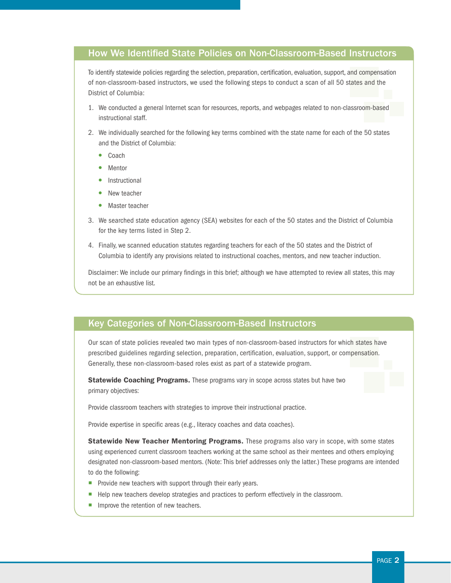## How We Identified State Policies on Non-Classroom-Based Instructors

To identify statewide policies regarding the selection, preparation, certification, evaluation, support, and compensation of non-classroom-based instructors, we used the following steps to conduct a scan of all 50 states and the District of Columbia:

- 1. We conducted a general Internet scan for resources, reports, and webpages related to non-classroom-based instructional staff.
- 2. We individually searched for the following key terms combined with the state name for each of the 50 states and the District of Columbia:
	- Coach
	- Mentor
	- Instructional
	- New teacher
	- Master teacher
- 3. We searched state education agency (SEA) websites for each of the 50 states and the District of Columbia for the key terms listed in Step 2.
- 4. Finally, we scanned education statutes regarding teachers for each of the 50 states and the District of Columbia to identify any provisions related to instructional coaches, mentors, and new teacher induction.

Disclaimer: We include our primary findings in this brief; although we have attempted to review all states, this may not be an exhaustive list.

## Key Categories of Non-Classroom-Based Instructors

Our scan of state policies revealed two main types of non-classroom-based instructors for which states have prescribed guidelines regarding selection, preparation, certification, evaluation, support, or compensation. Generally, these non-classroom-based roles exist as part of a statewide program.

Statewide Coaching Programs. These programs vary in scope across states but have two primary objectives:

Provide classroom teachers with strategies to improve their instructional practice.

Provide expertise in specific areas (e.g., literacy coaches and data coaches).

Statewide New Teacher Mentoring Programs. These programs also vary in scope, with some states using experienced current classroom teachers working at the same school as their mentees and others employing designated non-classroom-based mentors. (Note: This brief addresses only the latter.) These programs are intended to do the following:

- **Provide new teachers with support through their early years.**
- Help new teachers develop strategies and practices to perform effectively in the classroom.
- $\blacksquare$  Improve the retention of new teachers.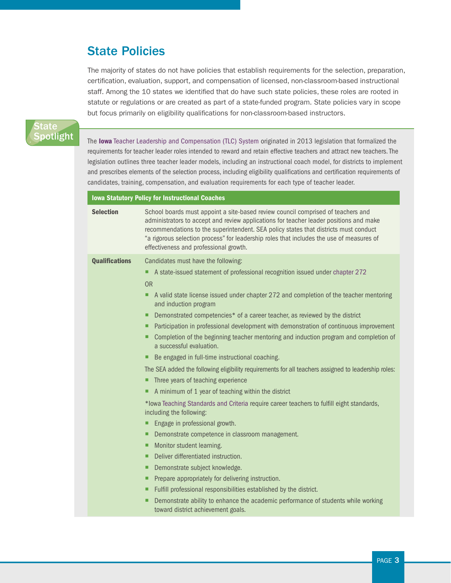# State Policies

The majority of states do not have policies that establish requirements for the selection, preparation, certification, evaluation, support, and compensation of licensed, non-classroom-based instructional staff. Among the 10 states we identified that do have such state policies, these roles are rooted in statute or regulations or are created as part of a state-funded program. State policies vary in scope but focus primarily on eligibility qualifications for non-classroom-based instructors.

## State Spotlight

The lowa [Teacher Leadership and Compensation \(TLC\) System](https://www.educateiowa.gov/sites/files/ed/documents/2013-07-15GuidanceOnTheTLCSystem.pdf) originated in 2013 legislation that formalized the requirements for teacher leader roles intended to reward and retain effective teachers and attract new teachers. The legislation outlines three teacher leader models, including an instructional coach model, for districts to implement and prescribes elements of the selection process, including eligibility qualifications and certification requirements of candidates, training, compensation, and evaluation requirements for each type of teacher leader.

## Iowa Statutory Policy for Instructional Coaches

| <b>Selection</b>      | School boards must appoint a site-based review council comprised of teachers and<br>administrators to accept and review applications for teacher leader positions and make<br>recommendations to the superintendent. SEA policy states that districts must conduct<br>"a rigorous selection process" for leadership roles that includes the use of measures of<br>effectiveness and professional growth. |
|-----------------------|----------------------------------------------------------------------------------------------------------------------------------------------------------------------------------------------------------------------------------------------------------------------------------------------------------------------------------------------------------------------------------------------------------|
| <b>Qualifications</b> | Candidates must have the following:                                                                                                                                                                                                                                                                                                                                                                      |
|                       | A state-issued statement of professional recognition issued under chapter 272<br>п                                                                                                                                                                                                                                                                                                                       |
|                       | <b>OR</b>                                                                                                                                                                                                                                                                                                                                                                                                |
|                       | A valid state license issued under chapter 272 and completion of the teacher mentoring<br>п<br>and induction program                                                                                                                                                                                                                                                                                     |
|                       | Demonstrated competencies* of a career teacher, as reviewed by the district<br>п                                                                                                                                                                                                                                                                                                                         |
|                       | Participation in professional development with demonstration of continuous improvement<br>п                                                                                                                                                                                                                                                                                                              |
|                       | Completion of the beginning teacher mentoring and induction program and completion of<br>■<br>a successful evaluation.                                                                                                                                                                                                                                                                                   |
|                       | Be engaged in full-time instructional coaching.<br>п                                                                                                                                                                                                                                                                                                                                                     |
|                       | The SEA added the following eligibility requirements for all teachers assigned to leadership roles:                                                                                                                                                                                                                                                                                                      |
|                       | Three years of teaching experience<br>п                                                                                                                                                                                                                                                                                                                                                                  |
|                       | A minimum of 1 year of teaching within the district<br>п                                                                                                                                                                                                                                                                                                                                                 |
|                       | *lowa Teaching Standards and Criteria require career teachers to fulfill eight standards,<br>including the following:                                                                                                                                                                                                                                                                                    |
|                       | Engage in professional growth.<br>п                                                                                                                                                                                                                                                                                                                                                                      |
|                       | Demonstrate competence in classroom management.<br>п                                                                                                                                                                                                                                                                                                                                                     |
|                       | Monitor student learning.<br>п                                                                                                                                                                                                                                                                                                                                                                           |
|                       | Deliver differentiated instruction.<br>п                                                                                                                                                                                                                                                                                                                                                                 |
|                       | Demonstrate subject knowledge.<br>п                                                                                                                                                                                                                                                                                                                                                                      |
|                       | Prepare appropriately for delivering instruction.<br>■                                                                                                                                                                                                                                                                                                                                                   |
|                       | Fulfill professional responsibilities established by the district.<br>п                                                                                                                                                                                                                                                                                                                                  |
|                       | Demonstrate ability to enhance the academic performance of students while working<br>ш<br>toward district achievement goals.                                                                                                                                                                                                                                                                             |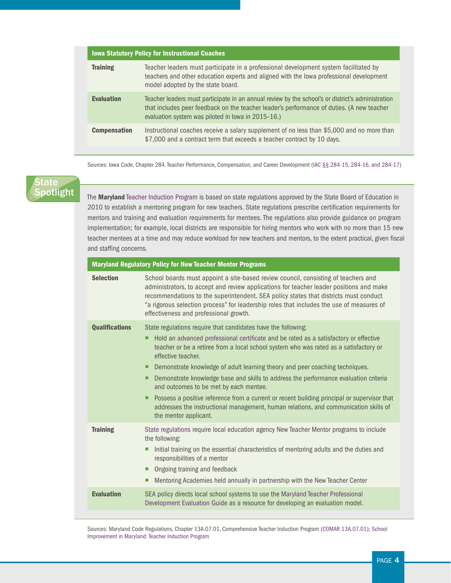| <b>Iowa Statutory Policy for Instructional Coaches</b> |                                                                                                                                                                                                                                                      |
|--------------------------------------------------------|------------------------------------------------------------------------------------------------------------------------------------------------------------------------------------------------------------------------------------------------------|
| <b>Training</b>                                        | Teacher leaders must participate in a professional development system facilitated by<br>teachers and other education experts and aligned with the lowa professional development<br>model adopted by the state board.                                 |
| <b>Evaluation</b>                                      | Teacher leaders must participate in an annual review by the school's or district's administration<br>that includes peer feedback on the teacher leader's performance of duties. (A new teacher<br>evaluation system was piloted in Iowa in 2015-16.) |
| <b>Compensation</b>                                    | Instructional coaches receive a salary supplement of no less than \$5,000 and no more than<br>\$7,000 and a contract term that exceeds a teacher contract by 10 days.                                                                                |

Sources: Iowa Code, Chapter 284. Teacher Performance, Compensation, and Career Development [\(IAC §§ 284-15, 284-16, and 284-17\)](https://www.legis.iowa.gov/docs/code/284.pdf)

## State **Spotlight**

The Maryland [Teacher Induction Program](http://mdk12.msde.maryland.gov/instruction/teacher_induction/index.html) is based on state regulations approved by the State Board of Education in 2010 to establish a mentoring program for new teachers. State regulations prescribe certification requirements for mentors and training and evaluation requirements for mentees. The regulations also provide guidance on program implementation; for example, local districts are responsible for hiring mentors who work with no more than 15 new teacher mentees at a time and may reduce workload for new teachers and mentors, to the extent practical, given fiscal and staffing concerns.

| <b>Maryland Regulatory Policy for New Teacher Mentor Programs</b> |                                                                                                                                                                                                                                                                                                                                                                                                                                                                                                                                                                                                                                                                                                                   |  |
|-------------------------------------------------------------------|-------------------------------------------------------------------------------------------------------------------------------------------------------------------------------------------------------------------------------------------------------------------------------------------------------------------------------------------------------------------------------------------------------------------------------------------------------------------------------------------------------------------------------------------------------------------------------------------------------------------------------------------------------------------------------------------------------------------|--|
| <b>Selection</b>                                                  | School boards must appoint a site-based review council, consisting of teachers and<br>administrators, to accept and review applications for teacher leader positions and make<br>recommendations to the superintendent. SEA policy states that districts must conduct<br>"a rigorous selection process" for leadership roles that includes the use of measures of<br>effectiveness and professional growth.                                                                                                                                                                                                                                                                                                       |  |
| <b>Qualifications</b>                                             | State regulations require that candidates have the following:<br>Hold an advanced professional certificate and be rated as a satisfactory or effective<br>teacher or be a retiree from a local school system who was rated as a satisfactory or<br>effective teacher.<br>Demonstrate knowledge of adult learning theory and peer coaching techniques.<br>ш<br>Demonstrate knowledge base and skills to address the performance evaluation criteria<br>ш<br>and outcomes to be met by each mentee.<br>Possess a positive reference from a current or recent building principal or supervisor that<br>addresses the instructional management, human relations, and communication skills of<br>the mentor applicant. |  |
| <b>Training</b>                                                   | State regulations require local education agency New Teacher Mentor programs to include<br>the following:<br>Initial training on the essential characteristics of mentoring adults and the duties and<br>ш<br>responsibilities of a mentor<br>• Ongoing training and feedback<br>Mentoring Academies held annually in partnership with the New Teacher Center<br>п                                                                                                                                                                                                                                                                                                                                                |  |
| <b>Evaluation</b>                                                 | SEA policy directs local school systems to use the Maryland Teacher Professional<br>Development Evaluation Guide as a resource for developing an evaluation model.                                                                                                                                                                                                                                                                                                                                                                                                                                                                                                                                                |  |

Sources: Maryland Code Regulations, Chapter 13A.07.01, Comprehensive Teacher Induction Program [\(COMAR 13A.07.01](http://www.hcpss.org/f/employees/induction/COMAR-13A.07.01.pdf)); [School](http://mdk12.msde.maryland.gov/instruction/teacher_induction/index.html)  [Improvement in Maryland: Teacher Induction Program](http://mdk12.msde.maryland.gov/instruction/teacher_induction/index.html)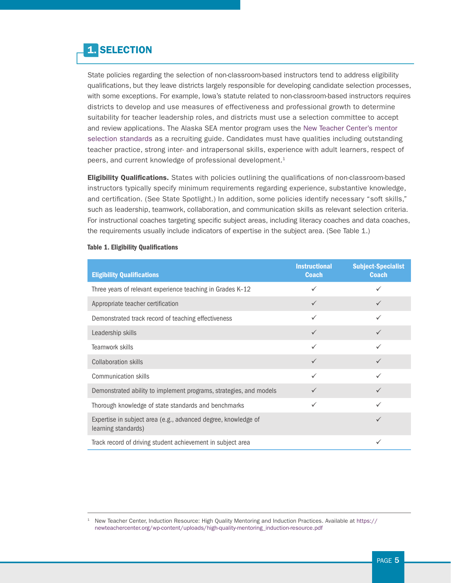# 1. SELECTION

State policies regarding the selection of non-classroom-based instructors tend to address eligibility qualifications, but they leave districts largely responsible for developing candidate selection processes, with some exceptions. For example, Iowa's statute related to non-classroom-based instructors requires districts to develop and use measures of effectiveness and professional growth to determine suitability for teacher leadership roles, and districts must use a selection committee to accept and review applications. The Alaska SEA mentor program uses the [New Teacher Center's mentor](https://newteachercenter.org/wp-content/uploads/high-quality-mentoring_induction-resource.pdf)  [selection standards](https://newteachercenter.org/wp-content/uploads/high-quality-mentoring_induction-resource.pdf) as a recruiting guide. Candidates must have qualities including outstanding teacher practice, strong inter- and intrapersonal skills, experience with adult learners, respect of peers, and current knowledge of professional development.<sup>1</sup>

**Eligibility Qualifications.** States with policies outlining the qualifications of non-classroom-based instructors typically specify minimum requirements regarding experience, substantive knowledge, and certification. (See State Spotlight.) In addition, some policies identify necessary "soft skills," such as leadership, teamwork, collaboration, and communication skills as relevant selection criteria. For instructional coaches targeting specific subject areas, including literacy coaches and data coaches, the requirements usually include indicators of expertise in the subject area. (See Table 1.)

| <b>Eligibility Qualifications</b>                                                     | <b>Instructional</b><br><b>Coach</b> | <b>Subject-Specialist</b><br><b>Coach</b> |
|---------------------------------------------------------------------------------------|--------------------------------------|-------------------------------------------|
| Three years of relevant experience teaching in Grades K-12                            | $\checkmark$                         |                                           |
| Appropriate teacher certification                                                     | $\checkmark$                         | $\checkmark$                              |
| Demonstrated track record of teaching effectiveness                                   | $\checkmark$                         | ✓                                         |
| Leadership skills                                                                     | $\checkmark$                         | $\checkmark$                              |
| Teamwork skills                                                                       | $\checkmark$                         | ✓                                         |
| <b>Collaboration skills</b>                                                           | $\checkmark$                         | $\checkmark$                              |
| Communication skills                                                                  | $\checkmark$                         | ✓                                         |
| Demonstrated ability to implement programs, strategies, and models                    | $\checkmark$                         | $\checkmark$                              |
| Thorough knowledge of state standards and benchmarks                                  | $\checkmark$                         | $\checkmark$                              |
| Expertise in subject area (e.g., advanced degree, knowledge of<br>learning standards) |                                      | $\checkmark$                              |
| Track record of driving student achievement in subject area                           |                                      |                                           |

## Table 1. Eligibility Qualifications

<sup>1</sup> New Teacher Center, Induction Resource: High Quality Mentoring and Induction Practices. Available at [https://](https://newteachercenter.org/wp-content/uploads/high-quality-mentoring_induction-resource.pdf) [newteachercenter.org/wp-content/uploads/high-quality-mentoring\\_induction-resource.pdf](https://newteachercenter.org/wp-content/uploads/high-quality-mentoring_induction-resource.pdf)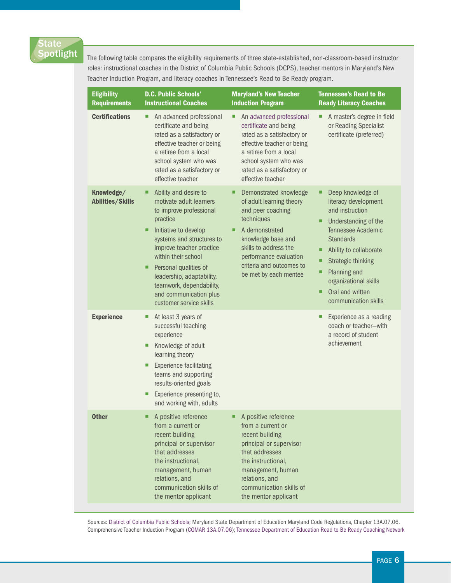## tate potlight

The following table compares the eligibility requirements of three state-established, non-classroom-based instructor roles: instructional coaches in the District of Columbia Public Schools (DCPS), teacher mentors in Maryland's New Teacher Induction Program, and literacy coaches in Tennessee's Read to Be Ready program.

| <b>Eligibility</b><br><b>Requirements</b> | <b>D.C. Public Schools'</b><br><b>Instructional Coaches</b>                                                                                                                                                                                                                                                                                            | <b>Maryland's New Teacher</b><br><b>Induction Program</b>                                                                                                                                                                                       | <b>Tennessee's Read to Be</b><br><b>Ready Literacy Coaches</b>                                                                                                                                                                                                                       |
|-------------------------------------------|--------------------------------------------------------------------------------------------------------------------------------------------------------------------------------------------------------------------------------------------------------------------------------------------------------------------------------------------------------|-------------------------------------------------------------------------------------------------------------------------------------------------------------------------------------------------------------------------------------------------|--------------------------------------------------------------------------------------------------------------------------------------------------------------------------------------------------------------------------------------------------------------------------------------|
| <b>Certifications</b>                     | An advanced professional<br>п<br>certificate and being<br>rated as a satisfactory or<br>effective teacher or being<br>a retiree from a local<br>school system who was<br>rated as a satisfactory or<br>effective teacher                                                                                                                               | An advanced professional<br>п<br>certificate and being<br>rated as a satisfactory or<br>effective teacher or being<br>a retiree from a local<br>school system who was<br>rated as a satisfactory or<br>effective teacher                        | A master's degree in field<br>п<br>or Reading Specialist<br>certificate (preferred)                                                                                                                                                                                                  |
| Knowledge/<br><b>Abilities/Skills</b>     | Ability and desire to<br>п<br>motivate adult learners<br>to improve professional<br>practice<br>Initiative to develop<br>п<br>systems and structures to<br>improve teacher practice<br>within their school<br>Personal qualities of<br>п<br>leadership, adaptability,<br>teamwork, dependability,<br>and communication plus<br>customer service skills | Demonstrated knowledge<br>■<br>of adult learning theory<br>and peer coaching<br>techniques<br>A demonstrated<br>П<br>knowledge base and<br>skills to address the<br>performance evaluation<br>criteria and outcomes to<br>be met by each mentee | Deep knowledge of<br>literacy development<br>and instruction<br>Understanding of the<br>■<br>Tennessee Academic<br><b>Standards</b><br>Ability to collaborate<br><b>Strategic thinking</b><br>Planning and<br>organizational skills<br>Oral and written<br>П<br>communication skills |
| <b>Experience</b>                         | At least 3 years of<br>ш<br>successful teaching<br>experience<br>Knowledge of adult<br>п<br>learning theory<br><b>Experience facilitating</b><br>п<br>teams and supporting<br>results-oriented goals<br>Experience presenting to,<br>п<br>and working with, adults                                                                                     |                                                                                                                                                                                                                                                 | Experience as a reading<br>coach or teacher-with<br>a record of student<br>achievement                                                                                                                                                                                               |
| <b>Other</b>                              | A positive reference<br>from a current or<br>recent building<br>principal or supervisor<br>that addresses<br>the instructional,<br>management, human<br>relations, and<br>communication skills of<br>the mentor applicant                                                                                                                              | A positive reference<br>from a current or<br>recent building<br>principal or supervisor<br>that addresses<br>the instructional,<br>management, human<br>relations, and<br>communication skills of<br>the mentor applicant                       |                                                                                                                                                                                                                                                                                      |

Sources: [District of Columbia Public Schools;](http://dcps.dc.gov/page/instructional-coaches-position-description) Maryland State Department of Education Maryland Code Regulations, Chapter 13A.07.06, Comprehensive Teacher Induction Program [\(COMAR 13A.07.06\)](http://www.hcpss.org/f/employees/induction/COMAR-13A.07.01.pdf); [Tennessee Department of Education Read to Be Ready Coaching Network](http://www.tn.gov/assets/entities/education/attachments/RR_Coaching_Network_Guide.pdf)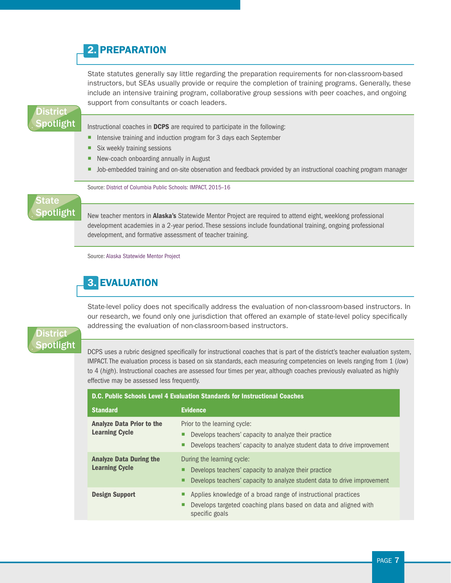## 2. PREPARATION

State statutes generally say little regarding the preparation requirements for non-classroom-based instructors, but SEAs usually provide or require the completion of training programs. Generally, these include an intensive training program, collaborative group sessions with peer coaches, and ongoing support from consultants or coach leaders.

## **District** potlight

Instructional coaches in DCPS are required to participate in the following:

- Intensive training and induction program for 3 days each September
- $\blacksquare$  Six weekly training sessions
- New-coach onboarding annually in August
- Job-embedded training and on-site observation and feedback provided by an instructional coaching program manager

Source: [District of Columbia Public Schools: IMPACT, 2015–16](http://dcps.dc.gov/sites/default/files/dc/sites/dcps/publication/attachments/Group%2015_r.pdf)

## **State** potlight

New teacher mentors in **Alaska's** Statewide Mentor Project are required to attend eight, weeklong professional development academies in a 2-year period. These sessions include foundational training, ongoing professional development, and formative assessment of teacher training.

Source: [Alaska Statewide Mentor Project](http://asmp.alaska.edu/mentor-model-overview)

# 3. EVALUATION

State-level policy does not specifically address the evaluation of non-classroom-based instructors. In our research, we found only one jurisdiction that offered an example of state-level policy specifically addressing the evaluation of non-classroom-based instructors.

## District potlight

DCPS uses a rubric designed specifically for instructional coaches that is part of the district's teacher evaluation system, IMPACT. The evaluation process is based on six standards, each measuring competencies on levels ranging from 1 (*low*) to 4 (*high*). Instructional coaches are assessed four times per year, although coaches previously evaluated as highly effective may be assessed less frequently.

| <b>D.C. Public Schools Level 4 Evaluation Standards for Instructional Coaches</b> |                                                                                                                                                                   |  |
|-----------------------------------------------------------------------------------|-------------------------------------------------------------------------------------------------------------------------------------------------------------------|--|
| <b>Standard</b>                                                                   | <b>Evidence</b>                                                                                                                                                   |  |
| <b>Analyze Data Prior to the</b><br><b>Learning Cycle</b>                         | Prior to the learning cycle:<br>Develops teachers' capacity to analyze their practice<br>Develops teachers' capacity to analyze student data to drive improvement |  |
| <b>Analyze Data During the</b><br><b>Learning Cycle</b>                           | During the learning cycle:<br>Develops teachers' capacity to analyze their practice<br>Develops teachers' capacity to analyze student data to drive improvement   |  |
| <b>Design Support</b>                                                             | Applies knowledge of a broad range of instructional practices<br>Develops targeted coaching plans based on data and aligned with<br>specific goals                |  |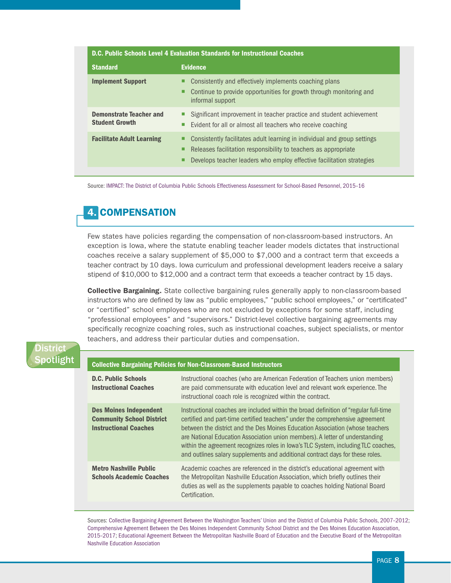| <b>D.C. Public Schools Level 4 Evaluation Standards for Instructional Coaches</b> |                                                                                                                                                                                                                           |  |
|-----------------------------------------------------------------------------------|---------------------------------------------------------------------------------------------------------------------------------------------------------------------------------------------------------------------------|--|
| <b>Standard</b>                                                                   | <b>Evidence</b>                                                                                                                                                                                                           |  |
| <b>Implement Support</b>                                                          | Consistently and effectively implements coaching plans<br>■<br>Continue to provide opportunities for growth through monitoring and<br>informal support                                                                    |  |
| <b>Demonstrate Teacher and</b><br><b>Student Growth</b>                           | Significant improvement in teacher practice and student achievement<br>Evident for all or almost all teachers who receive coaching<br>٠                                                                                   |  |
| <b>Facilitate Adult Learning</b>                                                  | Consistently facilitates adult learning in individual and group settings<br>⊔<br>Releases facilitation responsibility to teachers as appropriate<br>Develops teacher leaders who employ effective facilitation strategies |  |

Source: [IMPACT: The District of Columbia Public Schools Effectiveness Assessment for School-Based Personnel, 2015–16](http://dcps.dc.gov/sites/default/files/dc/sites/dcps/publication/attachments/Group%2015_r.pdf)

# 4. COMPENSATION

Few states have policies regarding the compensation of non-classroom-based instructors. An exception is Iowa, where the statute enabling teacher leader models dictates that instructional coaches receive a salary supplement of \$5,000 to \$7,000 and a contract term that exceeds a teacher contract by 10 days. Iowa curriculum and professional development leaders receive a salary stipend of \$10,000 to \$12,000 and a contract term that exceeds a teacher contract by 15 days.

**Collective Bargaining.** State collective bargaining rules generally apply to non-classroom-based instructors who are defined by law as "public employees," "public school employees," or "certificated" or "certified" school employees who are not excluded by exceptions for some staff, including "professional employees" and "supervisors." District-level collective bargaining agreements may specifically recognize coaching roles, such as instructional coaches, subject specialists, or mentor teachers, and address their particular duties and compensation.

## District potlight

## Collective Bargaining Policies for Non-Classroom-Based Instructors

| <b>D.C. Public Schools</b><br><b>Instructional Coaches</b>                                        | Instructional coaches (who are American Federation of Teachers union members)<br>are paid commensurate with education level and relevant work experience. The<br>instructional coach role is recognized within the contract.                                                                                                                                                                                                                                                                                   |
|---------------------------------------------------------------------------------------------------|----------------------------------------------------------------------------------------------------------------------------------------------------------------------------------------------------------------------------------------------------------------------------------------------------------------------------------------------------------------------------------------------------------------------------------------------------------------------------------------------------------------|
| <b>Des Moines Independent</b><br><b>Community School District</b><br><b>Instructional Coaches</b> | Instructional coaches are included within the broad definition of "regular full-time"<br>certified and part-time certified teachers" under the comprehensive agreement<br>between the district and the Des Moines Education Association (whose teachers<br>are National Education Association union members). A letter of understanding<br>within the agreement recognizes roles in Iowa's TLC System, including TLC coaches,<br>and outlines salary supplements and additional contract days for these roles. |
| <b>Metro Nashville Public</b><br><b>Schools Academic Coaches</b>                                  | Academic coaches are referenced in the district's educational agreement with<br>the Metropolitan Nashville Education Association, which briefly outlines their<br>duties as well as the supplements payable to coaches holding National Board<br>Certification.                                                                                                                                                                                                                                                |

Sources: [Collective Bargaining Agreement Between the Washington Teachers' Union and the District of Columbia Public Schools, 2007–2012](http://www.nctq.org/docs/74-07.pdf); [Comprehensive Agreement Between the Des Moines Independent Community School District and the Des Moines Education Association,](http://www.nctq.org/docs/2015-2017-Des_Moines.pdf)  [2015–2017;](http://www.nctq.org/docs/2015-2017-Des_Moines.pdf) [Educational Agreement Between the Metropolitan Nashville Board of Education and the Executive Board of the Metropolitan](http://www.nctq.org/docs/Nashville_10-11.pdf)  [Nashville Education Association](http://www.nctq.org/docs/Nashville_10-11.pdf)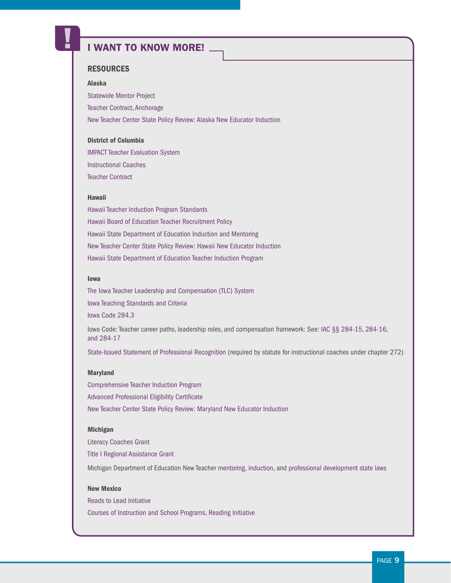# I WANT TO KNOW MORE!

## **RESOURCES**

#### Alaska

[Statewide Mentor Project](http://asmp.alaska.edu/) [Teacher Contract, Anchorage](http://www.nctq.org/docs/Anchorage_Negotiated_Agreement_2016-17.pdf) [New Teacher Center State Policy Review: Alaska New Educator Induction](https://newteachercenter.org/wp-content/uploads/SPR-alaska-2016-v3.pdf)

#### District of Columbia

[IMPACT Teacher Evaluation System](http://dcps.dc.gov/sites/default/files/dc/sites/dcps/publication/attachments/Group%2015_r.pdf) [Instructional Coaches](http://dcps.dc.gov/publication/instructional-coaches) [Teacher Contract](http://www.nctq.org/docs/74-07.pdf)

#### Hawaii

[Hawaii Teacher Induction Program Standards](http://www.hawaiipublicschools.org/DOE%20Forms/Educator%20Effectivness/TeacherInductionStandards.pdf) [Hawaii Board of Education Teacher Recruitment Policy](http://boe.hawaii.gov/policies/Board%20Policies/Teacher%20Recruitment,%20Retention,%20and%20Employment.pdf) [Hawaii State Department of Education Induction and Mentoring](http://www.hawaiipublicschools.org/TeachingAndLearning/EducatorEffectiveness/InductionAndMentoring/Pages/home.aspx) [New Teacher Center State Policy Review: Hawaii New Educator Induction](https://newteachercenter.org/wp-content/uploads/SPR-hawaii-2016-v3.pdf) [Hawaii State Department of Education Teacher Induction Program](http://www.hawaiipublicschools.org/VisionForSuccess/SuccessStories/TeachersAndPrincipals/Pages/New-Teacher-IM.aspx)

#### Iowa

[The Iowa Teacher Leadership and Compensation \(TLC\) System](https://www.educateiowa.gov/sites/files/ed/documents/2013-07-15GuidanceOnTheTLCSystem.pdf) [Iowa Teaching Standards and Criteria](https://www.educateiowa.gov/sites/files/ed/documents/IowaTeachingStandardsAndCriteria.pdf) [Iowa Code 284.3](https://www.lawserver.com/law/state/iowa/ia-code/iowa_code_284-3) Iowa Code: Teacher career paths, leadership roles, and compensation framework: See: [IAC §§ 284-15, 284-16,](https://www.legis.iowa.gov/docs/code/284.pdf)  [and 284-17](https://www.legis.iowa.gov/docs/code/284.pdf)

[State-Issued Statement of Professional Recognition](https://www.lawserver.com/law/state/iowa/ia-code/iowa_code_chapter_272) (required by statute for instructional coaches under chapter 272)

#### Maryland

[Comprehensive Teacher Induction Program](http://www.hcpss.org/f/employees/induction/COMAR-13A.07.01.pdf) [Advanced Professional Eligibility Certificate](http://archives.marylandpublicschools.org/MSDE/divisions/certification/certification_branch/certification_inf/types/overview.html) [New Teacher Center State Policy Review: Maryland New Educator Induction](https://newteachercenter.org/wp-content/uploads/SPR-maryland-2016-v5.pdf)

#### Michigan

[Literacy Coaches Grant](https://www.michigan.gov/mde/0,4615,7-140-28753_74161-367706--,00.html) [Title I Regional Assistance Grant](http://www.michigan.gov/documents/mde/TITLE_I_REGIONAL_ASSISTANCE_GRANTS_FAQs_1.11.11_367710_7.pdf) Michigan Department of Education New Teacher [mentoring, induction](http://assist.educ.msu.edu/ASSIST/school/together/inductionlaw.htm), and [professional development state laws](https://www.michigan.gov/mde/0,4615,7-140-5683_5703-36963--,00.html)

## New Mexico

[Reads to Lead Initiative](http://ped.state.nm.us/ped/RFPDocs/New%20Mexico%20Reads%20to%20Lead%202015-16%20RFA%20Final.pdf) [Courses of Instruction and School Programs, Reading Initiative](http://law.justia.com/codes/new-mexico/2015/chapter-22/article-13/section-22-13-1.3/)